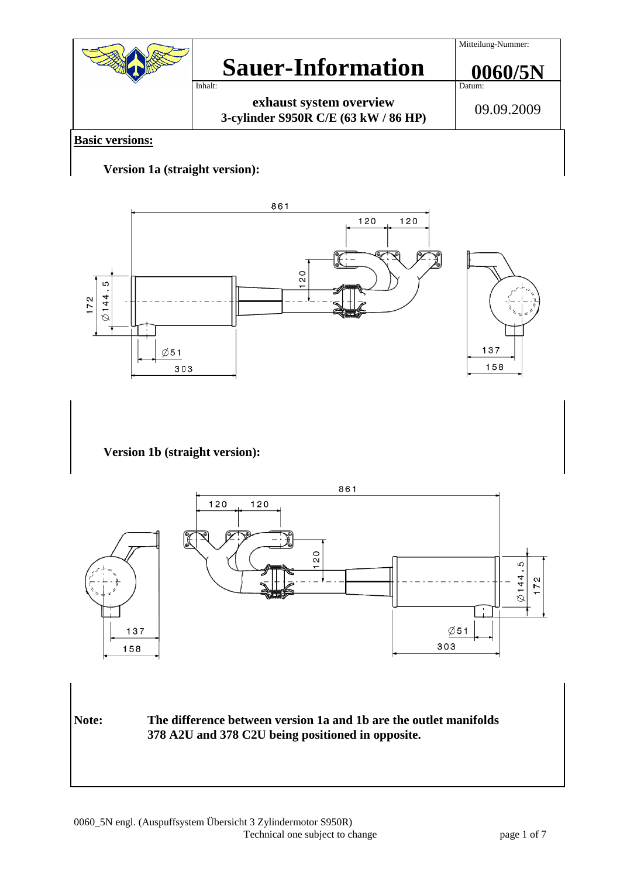

## **Basic versions:**

## **Version 1a (straight version):**

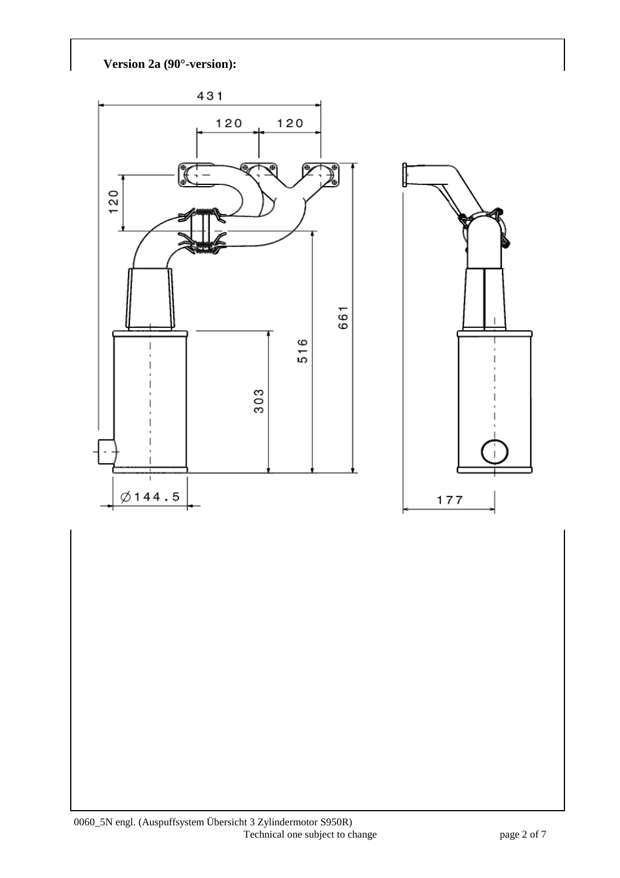**Version 2a (90°-version):** 

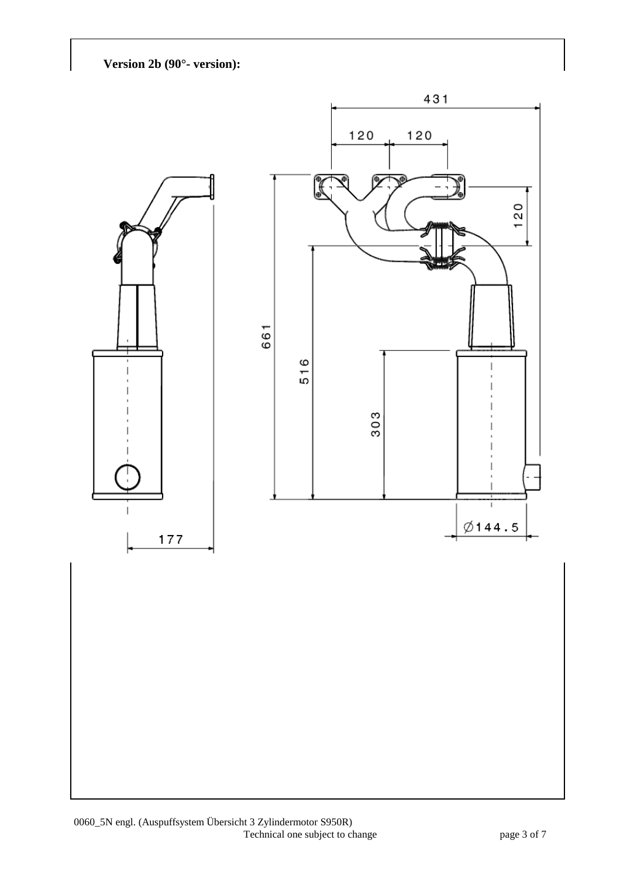**Version 2b (90°- version):** 

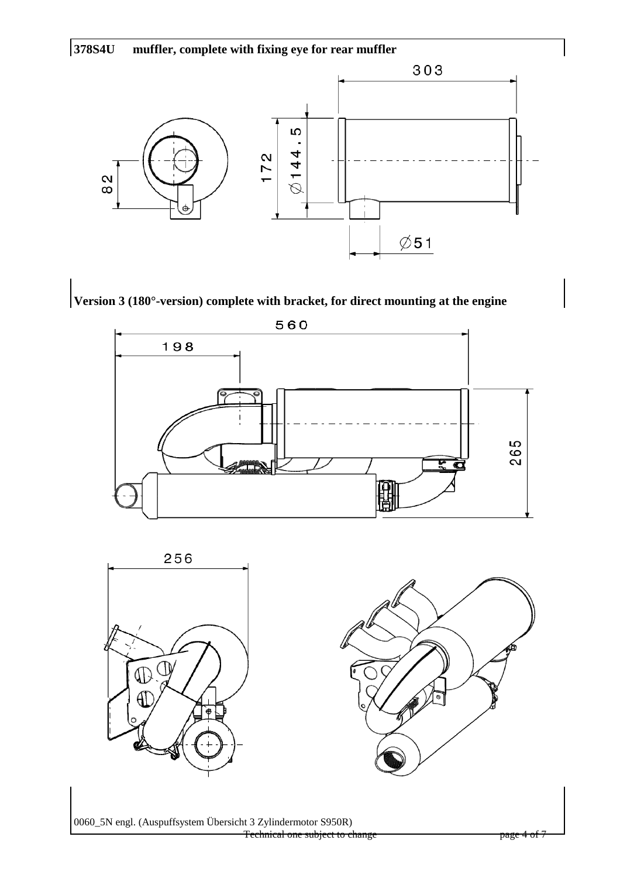







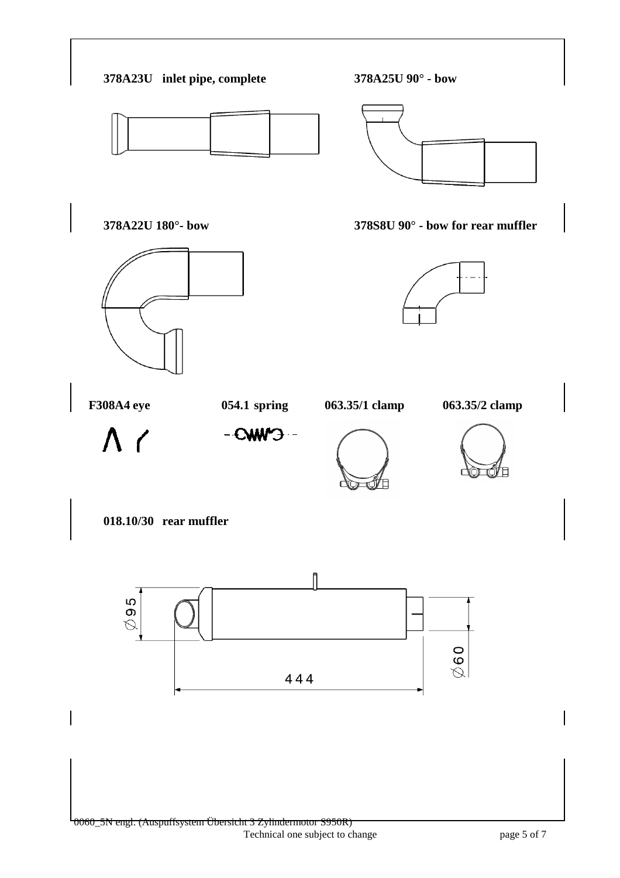